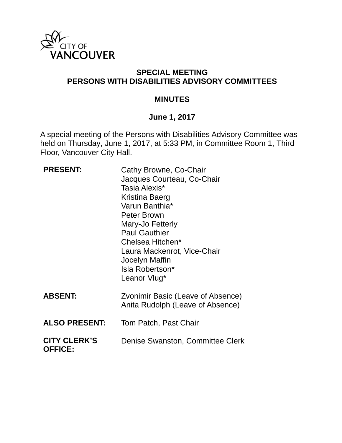

## **SPECIAL MEETING PERSONS WITH DISABILITIES ADVISORY COMMITTEES**

#### **MINUTES**

## **June 1, 2017**

A special meeting of the Persons with Disabilities Advisory Committee was held on Thursday, June 1, 2017, at 5:33 PM, in Committee Room 1, Third Floor, Vancouver City Hall.

| <b>PRESENT:</b>                       | Cathy Browne, Co-Chair<br>Jacques Courteau, Co-Chair<br>Tasia Alexis*<br>Kristina Baerg<br>Varun Banthia*<br>Peter Brown<br>Mary-Jo Fetterly<br><b>Paul Gauthier</b><br>Chelsea Hitchen*<br>Laura Mackenrot, Vice-Chair<br>Jocelyn Maffin<br>Isla Robertson*<br>Leanor Vlug* |
|---------------------------------------|------------------------------------------------------------------------------------------------------------------------------------------------------------------------------------------------------------------------------------------------------------------------------|
| <b>ABSENT:</b>                        | Zvonimir Basic (Leave of Absence)<br>Anita Rudolph (Leave of Absence)                                                                                                                                                                                                        |
| <b>ALSO PRESENT:</b>                  | Tom Patch, Past Chair                                                                                                                                                                                                                                                        |
| <b>CITY CLERK'S</b><br><b>OFFICE:</b> | Denise Swanston, Committee Clerk                                                                                                                                                                                                                                             |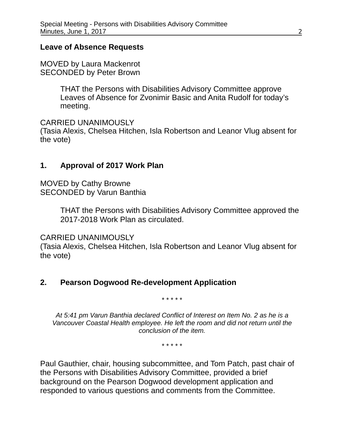#### **Leave of Absence Requests**

MOVED by Laura Mackenrot SECONDED by Peter Brown

> THAT the Persons with Disabilities Advisory Committee approve Leaves of Absence for Zvonimir Basic and Anita Rudolf for today's meeting.

CARRIED UNANIMOUSLY

(Tasia Alexis, Chelsea Hitchen, Isla Robertson and Leanor Vlug absent for the vote)

## **1. Approval of 2017 Work Plan**

MOVED by Cathy Browne SECONDED by Varun Banthia

> THAT the Persons with Disabilities Advisory Committee approved the 2017-2018 Work Plan as circulated.

CARRIED UNANIMOUSLY

(Tasia Alexis, Chelsea Hitchen, Isla Robertson and Leanor Vlug absent for the vote)

## **2. Pearson Dogwood Re-development Application**

\* \* \* \* \*

*At 5:41 pm Varun Banthia declared Conflict of Interest on Item No. 2 as he is a Vancouver Coastal Health employee. He left the room and did not return until the conclusion of the item.* 

\* \* \* \* \*

Paul Gauthier, chair, housing subcommittee, and Tom Patch, past chair of the Persons with Disabilities Advisory Committee, provided a brief background on the Pearson Dogwood development application and responded to various questions and comments from the Committee.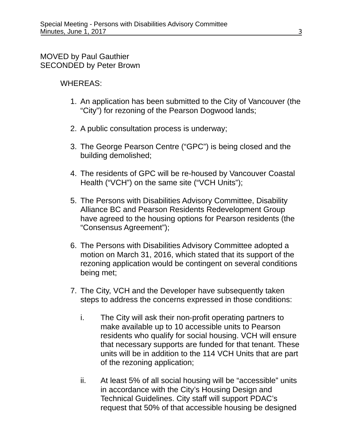#### MOVED by Paul Gauthier SECONDED by Peter Brown

#### WHEREAS:

- 1. An application has been submitted to the City of Vancouver (the "City") for rezoning of the Pearson Dogwood lands;
- 2. A public consultation process is underway;
- 3. The George Pearson Centre ("GPC") is being closed and the building demolished;
- 4. The residents of GPC will be re-housed by Vancouver Coastal Health ("VCH") on the same site ("VCH Units");
- 5. The Persons with Disabilities Advisory Committee, Disability Alliance BC and Pearson Residents Redevelopment Group have agreed to the housing options for Pearson residents (the "Consensus Agreement");
- 6. The Persons with Disabilities Advisory Committee adopted a motion on March 31, 2016, which stated that its support of the rezoning application would be contingent on several conditions being met;
- 7. The City, VCH and the Developer have subsequently taken steps to address the concerns expressed in those conditions:
	- i. The City will ask their non-profit operating partners to make available up to 10 accessible units to Pearson residents who qualify for social housing. VCH will ensure that necessary supports are funded for that tenant. These units will be in addition to the 114 VCH Units that are part of the rezoning application;
	- ii. At least 5% of all social housing will be "accessible" units in accordance with the City's Housing Design and Technical Guidelines. City staff will support PDAC's request that 50% of that accessible housing be designed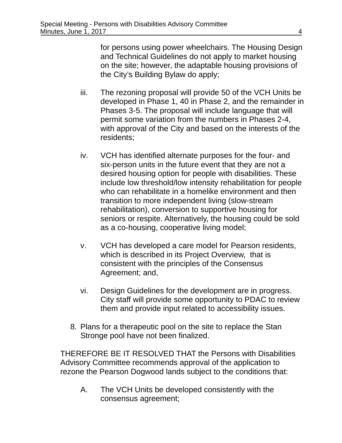for persons using power wheelchairs. The Housing Design and Technical Guidelines do not apply to market housing on the site; however, the adaptable housing provisions of the City's Building Bylaw do apply;

- iii. The rezoning proposal will provide 50 of the VCH Units be developed in Phase 1, 40 in Phase 2, and the remainder in Phases 3-5. The proposal will include language that will permit some variation from the numbers in Phases 2-4, with approval of the City and based on the interests of the residents;
- iv. VCH has identified alternate purposes for the four- and six-person units in the future event that they are not a desired housing option for people with disabilities. These include low threshold/low intensity rehabilitation for people who can rehabilitate in a homelike environment and then transition to more independent living (slow-stream rehabilitation), conversion to supportive housing for seniors or respite. Alternatively, the housing could be sold as a co-housing, cooperative living model;
- v. VCH has developed a care model for Pearson residents, which is described in its Project Overview, that is consistent with the principles of the Consensus Agreement; and,
- vi. Design Guidelines for the development are in progress. City staff will provide some opportunity to PDAC to review them and provide input related to accessibility issues.
- 8. Plans for a therapeutic pool on the site to replace the Stan Stronge pool have not been finalized.

THEREFORE BE IT RESOLVED THAT the Persons with Disabilities Advisory Committee recommends approval of the application to rezone the Pearson Dogwood lands subject to the conditions that:

A. The VCH Units be developed consistently with the consensus agreement;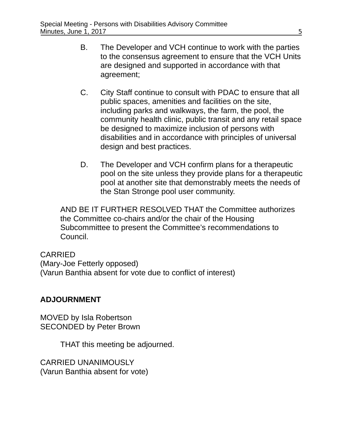- B. The Developer and VCH continue to work with the parties to the consensus agreement to ensure that the VCH Units are designed and supported in accordance with that agreement;
- C. City Staff continue to consult with PDAC to ensure that all public spaces, amenities and facilities on the site, including parks and walkways, the farm, the pool, the community health clinic, public transit and any retail space be designed to maximize inclusion of persons with disabilities and in accordance with principles of universal design and best practices.
- D. The Developer and VCH confirm plans for a therapeutic pool on the site unless they provide plans for a therapeutic pool at another site that demonstrably meets the needs of the Stan Stronge pool user community.

AND BE IT FURTHER RESOLVED THAT the Committee authorizes the Committee co-chairs and/or the chair of the Housing Subcommittee to present the Committee's recommendations to Council.

## CARRIED

(Mary-Joe Fetterly opposed) (Varun Banthia absent for vote due to conflict of interest)

## **ADJOURNMENT**

MOVED by Isla Robertson SECONDED by Peter Brown

THAT this meeting be adjourned.

CARRIED UNANIMOUSLY (Varun Banthia absent for vote)